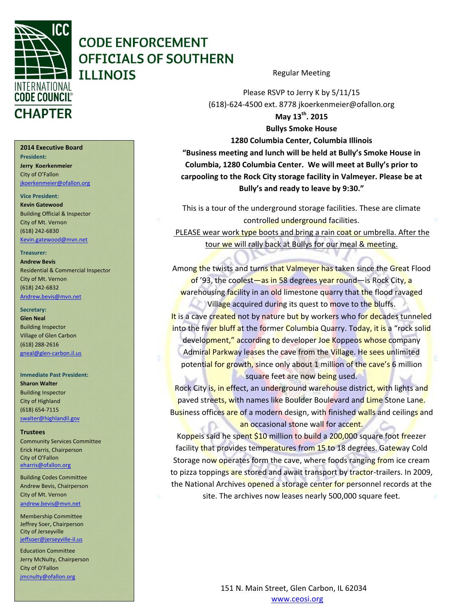

# **CODE ENFORCEMENT OFFICIALS OF SOUTHERN ILLINOIS**

#### **2014 Executive Board**

**President: Jerry Koerkenmeier** City of O'Fallon [jkoerkenmeier@ofallon.org](mailto:jkoerkenmeier@ofallon.org)

### **Vice President:**

**Kevin Gatewood** Building Official & Inspector City of Mt. Vernon (618) 242-6830 [Kevin.gatewood@mvn.net](mailto:Kevin.gatewood@mvn.net)

### **Treasurer:**

**Andrew Bevis** Residential & Commercial Inspector City of Mt. Vernon (618) 242-6832

[Andrew.bevis@mvn.net](mailto:Andrew.bevis@mvn.net)

### **Secretary:**

**Glen Neal** Building Inspector Village of Glen Carbon (618) 288-2616 gneal@glen-carbon.il.us

### **Immediate Past President:**

**Sharon Walter** Building Inspector City of Highland (618) 654-7115 [swalter@highlandil.gov](mailto:swalter@highlandil.gov) 

### **Trustees**

Community Services Committee Erick Harris, Chairperson City of O'Fallon [eharris@ofallon.org](mailto:eharris@ofallon.org) 

Building Codes Committee Andrew Bevis, Chairperson City of Mt. Vernon

[andrew.bevis@mvn.net](mailto:andrew.bevis@mvn.net)

Membership Committee Jeffrey Soer, Chairperson City of Jerseyville [jeffsoer@jerseyville-il.us](mailto:jeffsoer@jerseyville-il.us)

Education Committee Jerry McNulty, Chairperson City of O'Fallon [jmcnulty@ofallon.org](mailto:jmcnulty@ofallon.org)

Regular Meeting

Please RSVP to Jerry K by 5/11/15 (618)-624-4500 ext. 8778 jkoerkenmeier@ofallon.org **May 13th. 2015 Bullys Smoke House**

**1280 Columbia Center, Columbia Illinois "Business meeting and lunch will be held at Bully's Smoke House in Columbia, 1280 Columbia Center. We will meet at Bully's prior to carpooling to the Rock City storage facility in Valmeyer. Please be at Bully's and ready to leave by 9:30."**

This is a tour of the underground storage facilities. These are climate controlled underground facilities.

PLEASE wear work type boots and bring a rain coat or umbrella. After the tour we will rally back at Bullys for our meal & meeting.

Among the twists and turns that Valmeyer has taken since the Great Flood of '93, the coolest—as in 58 degrees year round—is Rock City, a warehousing facility in an old limestone quarry that the flood ravaged Village acquired during its quest to move to the bluffs.

It is a cave created not by nature but by workers who for decades tunneled into the fiver bluff at the former Columbia Quarry. Today, it is a "rock solid development," according to developer Joe Koppeos whose company Admiral Parkway leases the cave from the Village. He sees unlimited potential for growth, since only about 1 million of the cave's 6 million square feet are now being used.

Rock City is, in effect, an underground warehouse district, with lights and paved streets, with names like Boulder Boulevard and Lime Stone Lane. Business offices are of a modern design, with finished walls and ceilings and an occasional stone wall for accent.

Koppeis said he spent  $$10$  million to build a  $200,000$  square foot freezer facility that provides temperatures from 15 to 18 degrees. Gateway Cold Storage now operates form the cave, where foods ranging from ice cream to pizza toppings are stored and await transport by tractor-trailers. In 2009, the National Archives opened a storage center for personnel records at the site. The archives now leases nearly 500,000 square feet.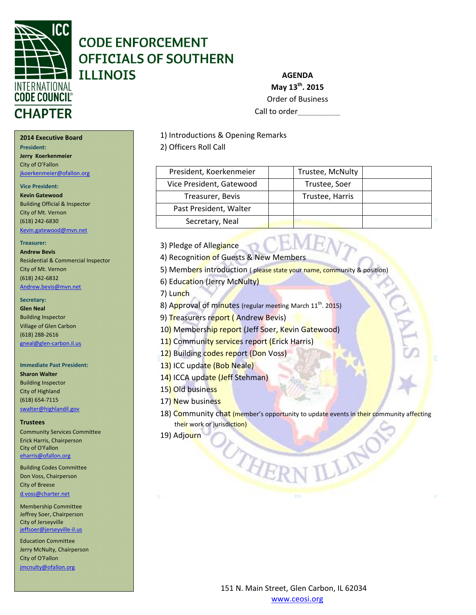

# **CODE ENFORCEMENT OFFICIALS OF SOUTHERN ILLINOIS**

**AGENDA May 13th. 2015** Order of Business

Call to order

1) Introductions & Opening Remarks

2) Officers Roll Call

| President, Koerkenmeier  | Trustee, McNulty |  |
|--------------------------|------------------|--|
| Vice President, Gatewood | Trustee, Soer    |  |
| Treasurer, Bevis         | Trustee, Harris  |  |
| Past President, Walter   |                  |  |
| Secretary, Neal          |                  |  |

3) Pledge of Allegiance

4) Recognition of Guests & New Members

5) Members introduction ( please state your name, community & position)

6) Education (Jerry McNulty)

7) Lunch

8) Approval of minutes (regular meeting March 11<sup>th</sup>. 2015)

9) Treasurers report (Andrew Bevis)

10) Membership report (Jeff Soer, Kevin Gatewood)

THE

11) Community services report (Erick Harris)

12) Building codes report (Don Voss)

13) ICC update (Bob Neale)

14) ICCA update (Jeff Stehman)

- 15) Old business
- 17) New business
- 18) Community chat (member's opportunity to update events in their community affecting their work or jurisdiction)

19) Adjourn

**2014 Executive Board President:** 

**Jerry Koerkenmeier** City of O'Fallon [jkoerkenmeier@ofallon.org](mailto:jkoerkenmeier@ofallon.org)

### **Vice President:**

**Kevin Gatewood** Building Official & Inspector City of Mt. Vernon (618) 242-6830

[Kevin.gatewood@mvn.net](mailto:Kevin.gatewood@mvn.net)

### **Treasurer:**

**Andrew Bevis** Residential & Commercial Inspector City of Mt. Vernon (618) 242-6832 [Andrew.bevis@mvn.net](mailto:Andrew.bevis@mvn.net)

### **Secretary:**

**Glen Neal** Building Inspector Village of Glen Carbon (618) 288-2616 [gneal@glen-carbon.il.us](mailto:gneal@glen-carbon.il.us) 

### **Immediate Past President:**

**Sharon Walter** Building Inspector City of Highland (618) 654-7115 [swalter@highlandil.gov](mailto:swalter@highlandil.gov) 

### **Trustees**

Community Services Committee Erick Harris, Chairperson City of O'Fallon [eharris@ofallon.org](mailto:eharris@ofallon.org) 

Building Codes Committee Don Voss, Chairperson City of Breese [d.voss@charter.net](mailto:d.voss@charter.net)

Membership Committee Jeffrey Soer, Chairperson City of Jerseyville [jeffsoer@jerseyville-il.us](mailto:jeffsoer@jerseyville-il.us)

Education Committee Jerry McNulty, Chairperson City of O'Fallon [jmcnulty@ofallon.org](mailto:jmcnulty@ofallon.org)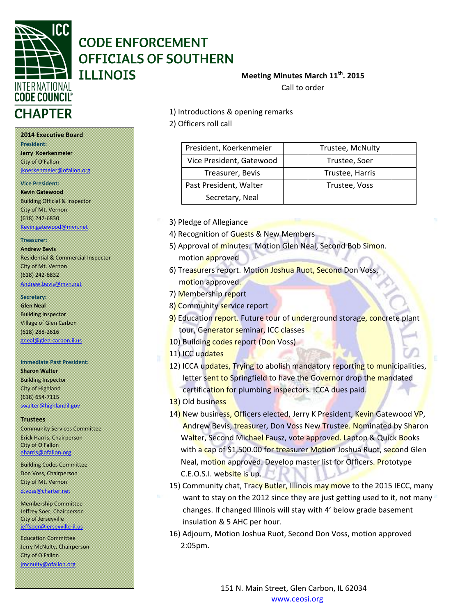

# **CODE ENFORCEMENT OFFICIALS OF SOUTHERN ILLINOIS**

## **Meeting Minutes March 11th. 2015**

Call to order

**2014 Executive Board President: Jerry Koerkenmeier** City of O'Fallon

[jkoerkenmeier@ofallon.org](mailto:jkoerkenmeier@ofallon.org)

### **Vice President:**

**Kevin Gatewood** Building Official & Inspector City of Mt. Vernon (618) 242-6830 [Kevin.gatewood@mvn.net](mailto:Kevin.gatewood@mvn.net)

### **Treasurer:**

**Andrew Bevis** Residential & Commercial Inspector City of Mt. Vernon (618) 242-6832 [Andrew.bevis@mvn.net](mailto:Andrew.bevis@mvn.net)

### **Secretary:**

**Glen Neal** Building Inspector Village of Glen Carbon (618) 288-2616 [gneal@glen-carbon.il.us](mailto:gneal@glen-carbon.il.us) 

### **Immediate Past President:**

**Sharon Walter** Building Inspector City of Highland (618) 654-7115 [swalter@highlandil.gov](mailto:swalter@highlandil.gov) 

### **Trustees**

Community Services Committee Erick Harris, Chairperson City of O'Fallon [eharris@ofallon.org](mailto:eharris@ofallon.org) 

Building Codes Committee Don Voss, Chairperson City of Mt. Vernon [d.voss@charter.net](mailto:d.voss@charter.net)

Membership Committee Jeffrey Soer, Chairperson City of Jerseyville [jeffsoer@jerseyville-il.us](mailto:jeffsoer@jerseyville-il.us)

Education Committee Jerry McNulty, Chairperson City of O'Fallon [jmcnulty@ofallon.org](mailto:jmcnulty@ofallon.org)

1) Introductions & opening remarks

2) Officers roll call

| President, Koerkenmeier  | Trustee, McNulty |  |
|--------------------------|------------------|--|
| Vice President, Gatewood | Trustee, Soer    |  |
| Treasurer, Bevis         | Trustee, Harris  |  |
| Past President, Walter   | Trustee, Voss    |  |
| Secretary, Neal          |                  |  |

3) Pledge of Allegiance

- 4) Recognition of Guests & New Members
- 5) Approval of minutes. Motion Glen Neal, Second Bob Simon. motion approved
- 6) Treasurers report. Motion Joshua Ruot, Second Don Voss, motion approved.
- 7) Membership report
- 8) Community service report
- 9) Education report. Future tour of underground storage, concrete plant tour, Generator seminar, ICC classes
- 10) Building codes report (Don Voss)
- 11) ICC updates
- 12) ICCA updates, Trying to abolish mandatory reporting to municipalities, letter sent to Springfield to have the Governor drop the mandated certification for plumbing inspectors. ICCA dues paid.
- 13) Old business
- 14) New business, Officers elected, Jerry K President, Kevin Gatewood VP, Andrew Bevis, treasurer, Don Voss New Trustee. Nominated by Sharon Walter, Second Michael Fausz, vote approved. Laptop & Quick Books with a cap of \$1,500.00 for treasurer Motion Joshua Ruot, second Glen Neal, motion approved. Develop master list for Officers. Prototype C.E.O.S.I. website is up.
- 15) Community chat, Tracy Butler, Illinois may move to the 2015 IECC, many want to stay on the 2012 since they are just getting used to it, not many changes. If changed Illinois will stay with 4' below grade basement insulation & 5 AHC per hour.
- 16) Adjourn, Motion Joshua Ruot, Second Don Voss, motion approved 2:05pm.